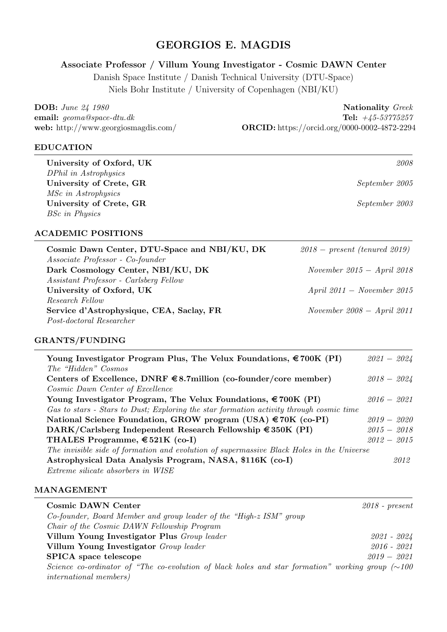# GEORGIOS E. MAGDIS

# Associate Professor / Villum Young Investigator - Cosmic DAWN Center

Danish Space Institute / Danish Technical University (DTU-Space) Niels Bohr Institute / University of Copenhagen (NBI/KU)

DOB: *June 24 1980* Nationality *Greek* 

email: *geoma@space-dtu.dk* Tel: *+45-53775257* web: http://www.georgiosmagdis.com/ **ORCID:** https://orcid.org/0000-0002-4872-2294

### EDUCATION

University of Oxford, UK *2008 DPhil in Astrophysics* University of Crete, GR *September 2005 MSc in Astrophysics* University of Crete, GR *September 2003 BSc in Physics*

## ACADEMIC POSITIONS

| Cosmic Dawn Center, DTU-Space and NBI/KU, DK | $2018$ – present (tenured 2019) |
|----------------------------------------------|---------------------------------|
| Associate Professor - Co-founder             |                                 |
| Dark Cosmology Center, NBI/KU, DK            | November 2015 - April 2018      |
| Assistant Professor - Carlsberg Fellow       |                                 |
| University of Oxford, UK                     | April $2011 - November 2015$    |
| Research Fellow                              |                                 |
| Service d'Astrophysique, CEA, Saclay, FR     | November 2008 - April 2011      |
| Post-doctoral Researcher                     |                                 |

### GRANTS/FUNDING

| Young Investigator Program Plus, The Velux Foundations, $\epsilon$ 700K (PI)              | $2021 - 2024$ |
|-------------------------------------------------------------------------------------------|---------------|
| The "Hidden" Cosmos                                                                       |               |
| Centers of Excellence, DNRF $\in$ 8.7 million (co-founder/core member)                    | $2018 - 2024$ |
| Cosmic Dawn Center of Excellence                                                          |               |
| Young Investigator Program, The Velux Foundations, $\epsilon$ 700K (PI)                   | $2016 - 2021$ |
| Gas to stars - Stars to Dust; Exploring the star formation activity through cosmic time   |               |
| National Science Foundation, GROW program (USA) €70K (co-PI)                              | $2019 - 2020$ |
| DARK/Carlsberg Independent Research Fellowship $\in$ 350K (PI)                            | $2015 - 2018$ |
| THALES Programme, $\text{\textsterling}521K$ (co-I)                                       | $2012 - 2015$ |
| The invisible side of formation and evolution of supermassive Black Holes in the Universe |               |
| Astrophysical Data Analysis Program, NASA, \$116K (co-I)                                  | 2012          |
| Extreme silicate absorbers in WISE                                                        |               |

### MANAGEMENT

| <b>Cosmic DAWN Center</b>                                                                              | $2018$ - present |
|--------------------------------------------------------------------------------------------------------|------------------|
| Co-founder, Board Member and group leader of the "High-z ISM" group                                    |                  |
| Chair of the Cosmic DAWN Fellowship Program                                                            |                  |
| Villum Young Investigator Plus Group leader                                                            | 2021 - 2024      |
| Villum Young Investigator Group leader                                                                 | $2016 - 2021$    |
| <b>SPICA</b> space telescope                                                                           | $2019 - 2021$    |
| Science co-ordinator of "The co-evolution of black holes and star formation" working group $(\sim 100$ |                  |
| <i>international members</i> )                                                                         |                  |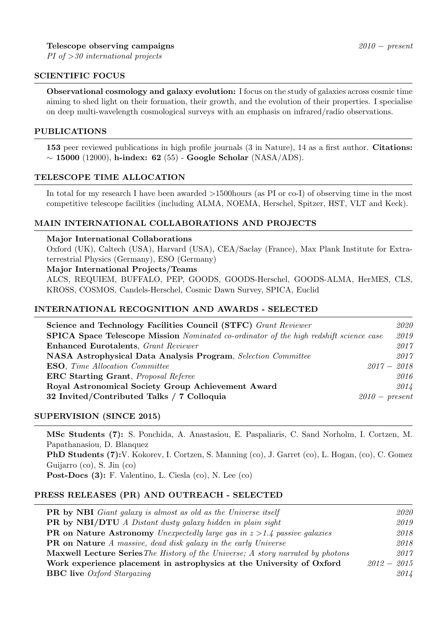### SCIENTIFIC FOCUS

Observational cosmology and galaxy evolution: I focus on the study of galaxies across cosmic time aiming to shed light on their formation, their growth, and the evolution of their properties. I specialise on deep multi-wavelength cosmological surveys with an emphasis on infrared/radio observations.

### PUBLICATIONS

153 peer reviewed publications in high profile journals (3 in Nature), 14 as a first author. Citations:  $\sim$  15000 (12000), h-index: 62 (55) - Google Scholar (NASA/ADS).

### TELESCOPE TIME ALLOCATION

In total for my research I have been awarded *>*1500hours (as PI or co-I) of observing time in the most competitive telescope facilities (including ALMA, NOEMA, Herschel, Spitzer, HST, VLT and Keck).

### MAIN INTERNATIONAL COLLABORATIONS AND PROJECTS

#### Major International Collaborations

Oxford (UK), Caltech (USA), Harvard (USA), CEA/Saclay (France), Max Plank Institute for Extraterrestrial Physics (Germany), ESO (Germany)

#### Major International Projects/Teams

ALCS, REQUIEM, BUFFALO, PEP, GOODS, GOODS-Herschel, GOODS-ALMA, HerMES, CLS, KROSS, COSMOS, Candels-Herschel, Cosmic Dawn Survey, SPICA, Euclid

### INTERNATIONAL RECOGNITION AND AWARDS - SELECTED

| Science and Technology Facilities Council (STFC) Grant Reviewer                               |                  | 2020 |
|-----------------------------------------------------------------------------------------------|------------------|------|
| <b>SPICA Space Telescope Mission</b> Nominated co-ordinator of the high redshift science case |                  | 2019 |
| <b>Enhanced Eurotalents, Grant Reviewer</b>                                                   |                  | 2017 |
| <b>NASA Astrophysical Data Analysis Program, Selection Committee</b>                          |                  | 2017 |
| <b>ESO</b> , Time Allocation Committee                                                        | $2017 - 2018$    |      |
| <b>ERC Starting Grant</b> , <i>Proposal Referee</i>                                           |                  | 2016 |
| Royal Astronomical Society Group Achievement Award                                            |                  | 2014 |
| 32 Invited/Contributed Talks / 7 Colloquia                                                    | $2010$ – present |      |
|                                                                                               |                  |      |

### SUPERVISION (SINCE 2015)

MSc Students (7): S. Ponchida, A. Anastasiou, E. Paspaliaris, C. Sand Norholm, I. Cortzen, M. Papathanasiou, D. Blanquez PhD Students (7):V. Kokorev, I. Cortzen, S. Manning (co), J. Garret (co), L. Hogan, (co), C. Gomez Guijarro (co), S. Jin (co) Post-Docs (3): F. Valentino, L. Ciesla (co), N. Lee (co)

### PRESS RELEASES (PR) AND OUTREACH - SELECTED

| <b>PR</b> by NBI Giant galaxy is almost as old as the Universe itself                  | 2020          |
|----------------------------------------------------------------------------------------|---------------|
| <b>PR</b> by NBI/DTU A Distant dusty galaxy hidden in plain sight                      | 2019          |
| <b>PR</b> on Nature Astronomy Unexpectedly large gas in $z > 1.4$ passive galaxies     | 2018          |
| <b>PR</b> on Nature A massive, dead disk galaxy in the early Universe                  | 2018          |
| <b>Maxwell Lecture Series</b> The History of the Universe; A story narrated by photons | 2017          |
| Work experience placement in astrophysics at the University of Oxford                  | $2012 - 2015$ |
| <b>BBC</b> live <i>Oxford Stargazing</i>                                               | 2014          |